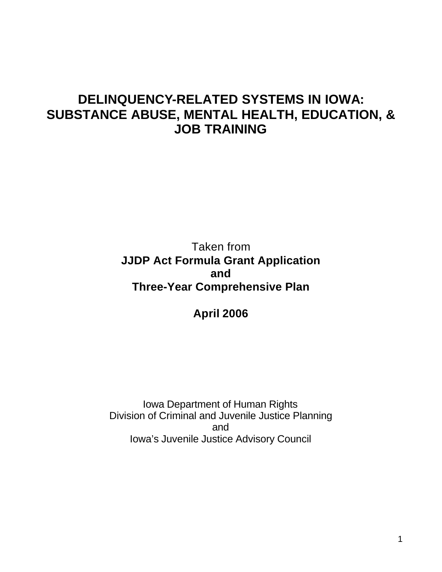# **DELINQUENCY-RELATED SYSTEMS IN IOWA: SUBSTANCE ABUSE, MENTAL HEALTH, EDUCATION, & JOB TRAINING**

Taken from **JJDP Act Formula Grant Application and Three-Year Comprehensive Plan**

**April 2006**

Iowa Department of Human Rights Division of Criminal and Juvenile Justice Planning and Iowa's Juvenile Justice Advisory Council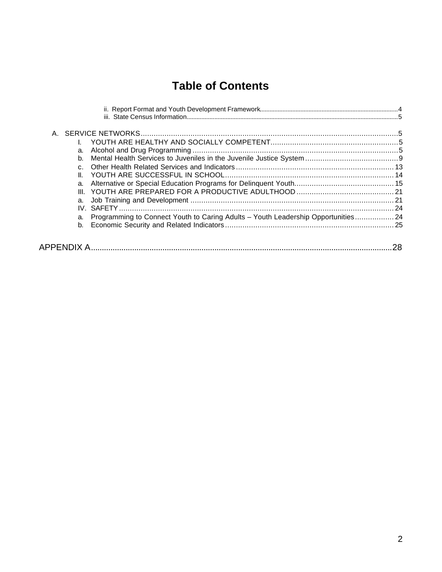# **Table of Contents**

| A                                                                                       |  |
|-----------------------------------------------------------------------------------------|--|
|                                                                                         |  |
| a.                                                                                      |  |
| b.                                                                                      |  |
|                                                                                         |  |
| Ш.                                                                                      |  |
| a.                                                                                      |  |
|                                                                                         |  |
| a.                                                                                      |  |
|                                                                                         |  |
| Programming to Connect Youth to Caring Adults - Youth Leadership Opportunities 24<br>a. |  |
| b.                                                                                      |  |
|                                                                                         |  |
|                                                                                         |  |
|                                                                                         |  |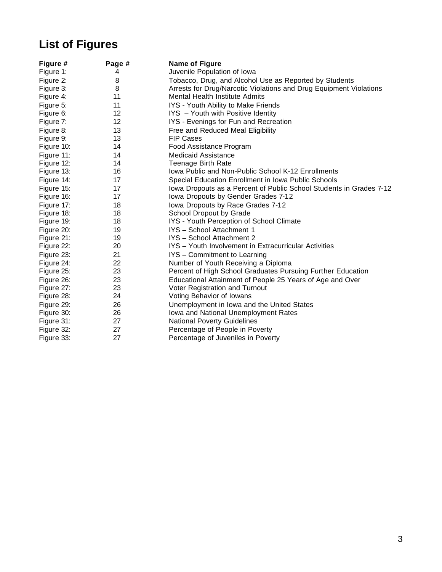# **List of Figures**

| Figure #   | Page #            | <b>Name of Figure</b>                                               |
|------------|-------------------|---------------------------------------------------------------------|
| Figure 1:  | 4                 | Juvenile Population of Iowa                                         |
| Figure 2:  | 8                 | Tobacco, Drug, and Alcohol Use as Reported by Students              |
| Figure 3:  | 8                 | Arrests for Drug/Narcotic Violations and Drug Equipment Violations  |
| Figure 4:  | 11                | Mental Health Institute Admits                                      |
| Figure 5:  | 11                | IYS - Youth Ability to Make Friends                                 |
| Figure 6:  | 12                | IYS - Youth with Positive Identity                                  |
| Figure 7:  | $12 \overline{ }$ | IYS - Evenings for Fun and Recreation                               |
| Figure 8:  | 13                | Free and Reduced Meal Eligibility                                   |
| Figure 9:  | 13                | <b>FIP Cases</b>                                                    |
| Figure 10: | 14                | Food Assistance Program                                             |
| Figure 11: | 14                | <b>Medicaid Assistance</b>                                          |
| Figure 12: | 14                | <b>Teenage Birth Rate</b>                                           |
| Figure 13: | 16                | Iowa Public and Non-Public School K-12 Enrollments                  |
| Figure 14: | 17                | Special Education Enrollment in Iowa Public Schools                 |
| Figure 15: | 17                | Iowa Dropouts as a Percent of Public School Students in Grades 7-12 |
| Figure 16: | 17                | Iowa Dropouts by Gender Grades 7-12                                 |
| Figure 17: | 18                | Iowa Dropouts by Race Grades 7-12                                   |
| Figure 18: | 18                | School Dropout by Grade                                             |
| Figure 19: | 18                | IYS - Youth Perception of School Climate                            |
| Figure 20: | 19                | IYS - School Attachment 1                                           |
| Figure 21: | 19                | IYS - School Attachment 2                                           |
| Figure 22: | 20                | IYS - Youth Involvement in Extracurricular Activities               |
| Figure 23: | 21                | IYS - Commitment to Learning                                        |
| Figure 24: | 22                | Number of Youth Receiving a Diploma                                 |
| Figure 25: | 23                | Percent of High School Graduates Pursuing Further Education         |
| Figure 26: | 23                | Educational Attainment of People 25 Years of Age and Over           |
| Figure 27: | 23                | Voter Registration and Turnout                                      |
| Figure 28: | 24                | Voting Behavior of Iowans                                           |
| Figure 29: | 26                | Unemployment in Iowa and the United States                          |
| Figure 30: | 26                | lowa and National Unemployment Rates                                |
| Figure 31: | 27                | <b>National Poverty Guidelines</b>                                  |
| Figure 32: | 27                | Percentage of People in Poverty                                     |
| Figure 33: | 27                | Percentage of Juveniles in Poverty                                  |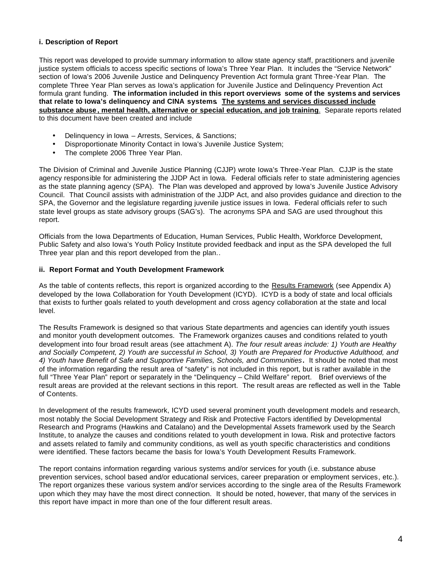#### **i. Description of Report**

This report was developed to provide summary information to allow state agency staff, practitioners and juvenile justice system officials to access specific sections of Iowa's Three Year Plan. It includes the "Service Network" section of Iowa's 2006 Juvenile Justice and Delinquency Prevention Act formula grant Three-Year Plan. The complete Three Year Plan serves as Iowa's application for Juvenile Justice and Delinquency Prevention Act formula grant funding. **The information included in this report overviews some of the systems and services that relate to Iowa's delinquency and CINA systems. The systems and services discussed include substance abuse , mental health, alternative or special education, and job training**. Separate reports related to this document have been created and include

- Delinquency in Iowa Arrests, Services, & Sanctions;
- Disproportionate Minority Contact in Iowa's Juvenile Justice System;
- The complete 2006 Three Year Plan.

The Division of Criminal and Juvenile Justice Planning (CJJP) wrote Iowa's Three-Year Plan. CJJP is the state agency responsible for administering the JJDP Act in Iowa. Federal officials refer to state administering agencies as the state planning agency (SPA). The Plan was developed and approved by Iowa's Juvenile Justice Advisory Council. That Council assists with administration of the JJDP Act, and also provides guidance and direction to the SPA, the Governor and the legislature regarding juvenile justice issues in Iowa. Federal officials refer to such state level groups as state advisory groups (SAG's). The acronyms SPA and SAG are used throughout this report.

Officials from the Iowa Departments of Education, Human Services, Public Health, Workforce Development, Public Safety and also Iowa's Youth Policy Institute provided feedback and input as the SPA developed the full Three year plan and this report developed from the plan..

#### **ii. Report Format and Youth Development Framework**

As the table of contents reflects, this report is organized according to the Results Framework (see Appendix A) developed by the Iowa Collaboration for Youth Development (ICYD). ICYD is a body of state and local officials that exists to further goals related to youth development and cross agency collaboration at the state and local level.

The Results Framework is designed so that various State departments and agencies can identify youth issues and monitor youth development outcomes. The Framework organizes causes and conditions related to youth development into four broad result areas (see attachment A). *The four result areas include: 1) Youth are Healthy and Socially Competent, 2) Youth are successful in School, 3) Youth are Prepared for Productive Adulthood, and 4) Youth have Benefit of Safe and Supportive Families, Schools, and Communities***.** It should be noted that most of the information regarding the result area of "safety" is not included in this report, but is rather available in the full "Three Year Plan" report or separately in the "Delinquency - Child Welfare" report. Brief overviews of the result areas are provided at the relevant sections in this report. The result areas are reflected as well in the Table of Contents.

In development of the results framework, ICYD used several prominent youth development models and research, most notably the Social Development Strategy and Risk and Protective Factors identified by Developmental Research and Programs (Hawkins and Catalano) and the Developmental Assets framework used by the Search Institute, to analyze the causes and conditions related to youth development in Iowa. Risk and protective factors and assets related to family and community conditions, as well as youth specific characteristics and conditions were identified. These factors became the basis for Iowa's Youth Development Results Framework.

The report contains information regarding various systems and/or services for youth (i.e. substance abuse prevention services, school based and/or educational services, career preparation or employment services, etc.). The report organizes these various system and/or services according to the single area of the Results Framework upon which they may have the most direct connection. It should be noted, however, that many of the services in this report have impact in more than one of the four different result areas.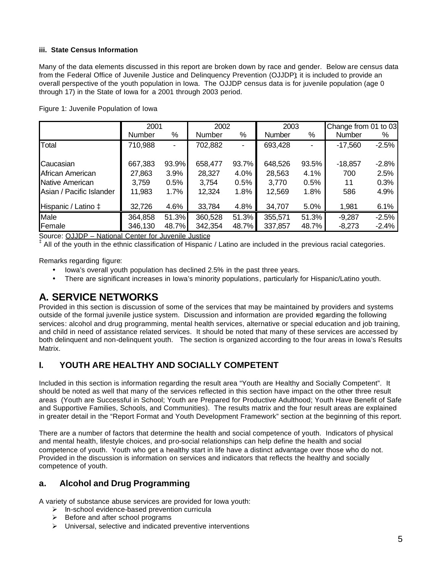#### **iii. State Census Information**

Many of the data elements discussed in this report are broken down by race and gender. Below are census data from the Federal Office of Juvenile Justice and Delinquency Prevention (OJJDP); it is included to provide an overall perspective of the youth population in Iowa. The OJJDP census data is for juvenile population (age 0 through 17) in the State of Iowa for a 2001 through 2003 period.

|                              | 2001    |       | 2002    |                | 2003          |       | Change from 01 to 03 |         |
|------------------------------|---------|-------|---------|----------------|---------------|-------|----------------------|---------|
|                              | Number  | %     | Number  | %              | <b>Number</b> | %     | Number               | %       |
| Total                        | 710,988 |       | 702,882 | $\blacksquare$ | 693,428       |       | $-17,560$            | $-2.5%$ |
|                              |         |       |         |                |               |       |                      |         |
| Caucasian                    | 667,383 | 93.9% | 658,477 | 93.7%          | 648,526       | 93.5% | $-18,857$            | $-2.8%$ |
| African American             | 27,863  | 3.9%  | 28,327  | 4.0%           | 28,563        | 4.1%  | 700                  | 2.5%    |
| Native American              | 3,759   | 0.5%  | 3,754   | 0.5%           | 3.770         | 0.5%  | 11                   | 0.3%    |
| Asian / Pacific Islander     | 11,983  | 1.7%  | 12,324  | 1.8%           | 12,569        | 1.8%  | 586                  | 4.9%    |
| Hispanic / Latino $\ddagger$ | 32,726  | 4.6%  | 33,784  | 4.8%           | 34,707        | 5.0%  | 1,981                | 6.1%    |
| Male                         | 364,858 | 51.3% | 360,528 | 51.3%          | 355,571       | 51.3% | $-9,287$             | $-2.5%$ |
| Female                       | 346,130 | 48.7% | 342,354 | 48.7%          | 337,857       | 48.7% | $-8,273$             | $-2.4%$ |

Figure 1: Juvenile Population of Iowa

Source: OJJDP – National Center for Juvenile Justice

‡ All of the youth in the ethnic classification of Hispanic / Latino are included in the previous racial categories.

Remarks regarding figure:

- lowa's overall youth population has declined 2.5% in the past three years.
- There are significant increases in Iowa's minority populations, particularly for Hispanic/Latino youth.

## **A. SERVICE NETWORKS**

Provided in this section is discussion of some of the services that may be maintained by providers and systems outside of the formal juvenile justice system. Discussion and information are provided regarding the following services: alcohol and drug programming, mental health services, alternative or special education and job training, and child in need of assistance related services. It should be noted that many of these services are accessed by both delinquent and non-delinquent youth. The section is organized according to the four areas in Iowa's Results Matrix.

## **I. YOUTH ARE HEALTHY AND SOCIALLY COMPETENT**

Included in this section is information regarding the result area "Youth are Healthy and Socially Competent". It should be noted as well that many of the services reflected in this section have impact on the other three result areas (Youth are Successful in School; Youth are Prepared for Productive Adulthood; Youth Have Benefit of Safe and Supportive Families, Schools, and Communities). The results matrix and the four result areas are explained in greater detail in the "Report Format and Youth Development Framework" section at the beginning of this report.

There are a number of factors that determine the health and social competence of youth. Indicators of physical and mental health, lifestyle choices, and pro-social relationships can help define the health and social competence of youth. Youth who get a healthy start in life have a distinct advantage over those who do not. Provided in the discussion is information on services and indicators that reflects the healthy and socially competence of youth.

## **a. Alcohol and Drug Programming**

A variety of substance abuse services are provided for Iowa youth:

- $\triangleright$  In-school evidence-based prevention curricula
- $\triangleright$  Before and after school programs
- $\triangleright$  Universal, selective and indicated preventive interventions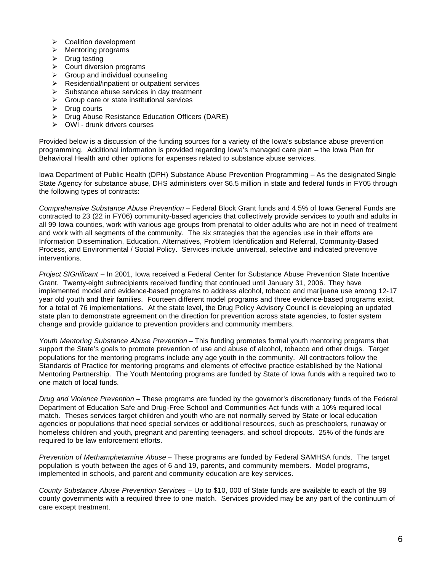- $\triangleright$  Coalition development
- $\triangleright$  Mentoring programs
- $\triangleright$  Drug testing
- $\triangleright$  Court diversion programs
- $\triangleright$  Group and individual counseling
- $\triangleright$  Residential/inpatient or outpatient services
- $\triangleright$  Substance abuse services in day treatment
- $\triangleright$  Group care or state institutional services
- $\triangleright$  Drug courts
- $\triangleright$  Drug Abuse Resistance Education Officers (DARE)
- $\triangleright$  OWI drunk drivers courses

Provided below is a discussion of the funding sources for a variety of the Iowa's substance abuse prevention programming. Additional information is provided regarding Iowa's managed care plan – the Iowa Plan for Behavioral Health and other options for expenses related to substance abuse services.

Iowa Department of Public Health (DPH) Substance Abuse Prevention Programming – As the designated Single State Agency for substance abuse, DHS administers over \$6.5 million in state and federal funds in FY05 through the following types of contracts:

*Comprehensive Substance Abuse Prevention* – Federal Block Grant funds and 4.5% of Iowa General Funds are contracted to 23 (22 in FY06) community-based agencies that collectively provide services to youth and adults in all 99 Iowa counties, work with various age groups from prenatal to older adults who are not in need of treatment and work with all segments of the community. The six strategies that the agencies use in their efforts are Information Dissemination, Education, Alternatives, Problem Identification and Referral, Community-Based Process, and Environmental / Social Policy. Services include universal, selective and indicated preventive interventions.

*Project SIGnificant* – In 2001, Iowa received a Federal Center for Substance Abuse Prevention State Incentive Grant. Twenty-eight subrecipients received funding that continued until January 31, 2006. They have implemented model and evidence-based programs to address alcohol, tobacco and marijuana use among 12-17 year old youth and their families. Fourteen different model programs and three evidence-based programs exist, for a total of 76 implementations. At the state level, the Drug Policy Advisory Council is developing an updated state plan to demonstrate agreement on the direction for prevention across state agencies, to foster system change and provide guidance to prevention providers and community members.

*Youth Mentoring Substance Abuse Prevention* – This funding promotes formal youth mentoring programs that support the State's goals to promote prevention of use and abuse of alcohol, tobacco and other drugs. Target populations for the mentoring programs include any age youth in the community. All contractors follow the Standards of Practice for mentoring programs and elements of effective practice established by the National Mentoring Partnership. The Youth Mentoring programs are funded by State of Iowa funds with a required two to one match of local funds.

*Drug and Violence Prevention* – These programs are funded by the governor's discretionary funds of the Federal Department of Education Safe and Drug-Free School and Communities Act funds with a 10% required local match. Theses services target children and youth who are not normally served by State or local education agencies or populations that need special services or additional resources, such as preschoolers, runaway or homeless children and youth, pregnant and parenting teenagers, and school dropouts. 25% of the funds are required to be law enforcement efforts.

*Prevention of Methamphetamine Abuse* – These programs are funded by Federal SAMHSA funds. The target population is youth between the ages of 6 and 19, parents, and community members. Model programs, implemented in schools, and parent and community education are key services.

*County Substance Abuse Prevention Services* – Up to \$10, 000 of State funds are available to each of the 99 county governments with a required three to one match. Services provided may be any part of the continuum of care except treatment.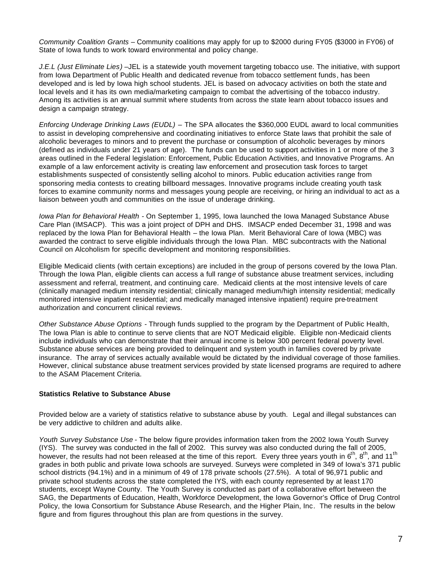*Community Coalition Grants* – Community coalitions may apply for up to \$2000 during FY05 (\$3000 in FY06) of State of Iowa funds to work toward environmental and policy change.

*J.E.L (Just Eliminate Lies)* –JEL is a statewide youth movement targeting tobacco use. The initiative, with support from Iowa Department of Public Health and dedicated revenue from tobacco settlement funds, has been developed and is led by Iowa high school students. JEL is based on advocacy activities on both the state and local levels and it has its own media/marketing campaign to combat the advertising of the tobacco industry. Among its activities is an annual summit where students from across the state learn about tobacco issues and design a campaign strategy.

*Enforcing Underage Drinking Laws (EUDL)* – The SPA allocates the \$360,000 EUDL award to local communities to assist in developing comprehensive and coordinating initiatives to enforce State laws that prohibit the sale of alcoholic beverages to minors and to prevent the purchase or consumption of alcoholic beverages by minors (defined as individuals under 21 years of age). The funds can be used to support activities in 1 or more of the 3 areas outlined in the Federal legislation: Enforcement, Public Education Activities, and Innovative Programs. An example of a law enforcement activity is creating law enforcement and prosecution task forces to target establishments suspected of consistently selling alcohol to minors. Public education activities range from sponsoring media contests to creating billboard messages. Innovative programs include creating youth task forces to examine community norms and messages young people are receiving, or hiring an individual to act as a liaison between youth and communities on the issue of underage drinking.

*Iowa Plan for Behavioral Health* - On September 1, 1995, Iowa launched the Iowa Managed Substance Abuse Care Plan (IMSACP). This was a joint project of DPH and DHS. IMSACP ended December 31, 1998 and was replaced by the Iowa Plan for Behavioral Health – the Iowa Plan. Merit Behavioral Care of Iowa (MBC) was awarded the contract to serve eligible individuals through the Iowa Plan. MBC subcontracts with the National Council on Alcoholism for specific development and monitoring responsibilities.

Eligible Medicaid clients (with certain exceptions) are included in the group of persons covered by the Iowa Plan. Through the Iowa Plan, eligible clients can access a full rang*e* of substance abuse treatment services, including assessment and referral, treatment, and continuing care. Medicaid clients at the most intensive levels of care (clinically managed medium intensity residential; clinically managed medium/high intensity residential; medically monitored intensive inpatient residential; and medically managed intensive inpatient) require pre-treatment authorization and concurrent clinical reviews.

*Other Substance Abuse Options* - Through funds supplied to the program by the Department of Public Health, The Iowa Plan is able to continue to serve clients that are NOT Medicaid eligible. Eligible non-Medicaid clients include individuals who can demonstrate that their annual income is below 300 percent federal poverty level. Substance abuse services are being provided to delinquent and system youth in families covered by private insurance. The array of services actually available would be dictated by the individual coverage of those families. However, clinical substance abuse treatment services provided by state licensed programs are required to adhere to the ASAM Placement Criteria.

#### **Statistics Relative to Substance Abuse**

Provided below are a variety of statistics relative to substance abuse by youth. Legal and illegal substances can be very addictive to children and adults alike.

*Youth Survey Substance Use* - The below figure provides information taken from the 2002 Iowa Youth Survey (IYS). The survey was conducted in the fall of 2002. This survey was also conducted during the fall of 2005, however, the results had not been released at the time of this report. Every three years youth in 6<sup>th</sup>, 8<sup>th</sup>, and 11<sup>th</sup> grades in both public and private Iowa schools are surveyed. Surveys were completed in 349 of Iowa's 371 public school districts (94.1%) and in a minimum of 49 of 178 private schools (27.5%). A total of 96,971 public and private school students across the state completed the IYS, with each county represented by at least 170 students, except Wayne County. The Youth Survey is conducted as part of a collaborative effort between the SAG, the Departments of Education, Health, Workforce Development, the Iowa Governor's Office of Drug Control Policy, the Iowa Consortium for Substance Abuse Research, and the Higher Plain, Inc. The results in the below figure and from figures throughout this plan are from questions in the survey.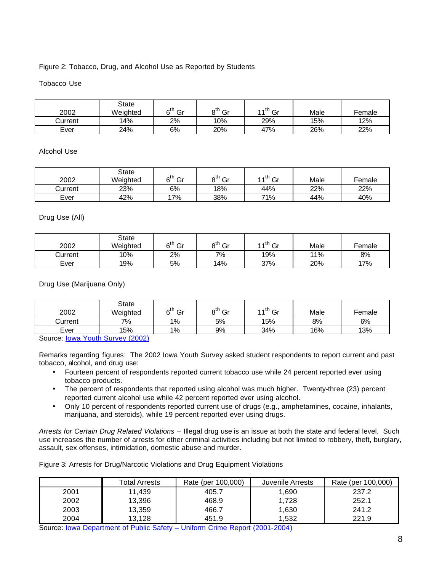#### Figure 2: Tobacco, Drug, and Alcohol Use as Reported by Students

#### Tobacco Use

| 2002    | State<br>Weighted | 6 <sup>th</sup><br>Gr | $\mathsf{d}^{\dagger}$<br>Gr | 4 A th<br>Gr | Male | Female |
|---------|-------------------|-----------------------|------------------------------|--------------|------|--------|
| Current | 14%               | 2%                    | 10%                          | 29%          | 15%  | 12%    |
| Ever    | 24%               | 6%                    | 20%                          | 47%          | 26%  | 22%    |

#### Alcohol Use

| 2002    | State<br>Weighted | $\kappa^{\text{th}}$<br>Gr | Gr<br>nu | $11^{th}$ Gr | Male | Female |
|---------|-------------------|----------------------------|----------|--------------|------|--------|
| Current | 23%               | 6%                         | 18%      | 44%          | 22%  | 22%    |
| Ever    | 42%               | $7\%$                      | 38%      | 71%          | 44%  | 40%    |

#### Drug Use (All)

| 2002    | State<br>Weighted | ام<br>Gr | Gr<br>nu | $4.4^{\text{th}}$ $\sim$<br>ات | Male | Female |
|---------|-------------------|----------|----------|--------------------------------|------|--------|
| Current | 10%               | 2%       | 7%       | 19%                            | 11%  | 8%     |
| Ever    | 19%               | 5%       | 14%      | 37%                            | 20%  | 17%    |

Drug Use (Marijuana Only)

| 2002    | State<br>Weighted | $c^{th}$<br>Gr | $\mathsf{d}^{\mathsf{th}}$<br>Gr | $4.4$ <sup>th</sup><br>Gr | Male | Female |
|---------|-------------------|----------------|----------------------------------|---------------------------|------|--------|
| Current | 7%                | 1%             | 5%                               | 15%                       | 8%   | 6%     |
| Ever    | 15%               | 1%             | 9%                               | 34%                       | 16%  | 13%    |

Source: Iowa Youth Survey (2002)

Remarks regarding figures: The 2002 Iowa Youth Survey asked student respondents to report current and past tobacco, alcohol, and drug use:

- Fourteen percent of respondents reported current tobacco use while 24 percent reported ever using tobacco products.
- The percent of respondents that reported using alcohol was much higher. Twenty-three (23) percent reported current alcohol use while 42 percent reported ever using alcohol.
- Only 10 percent of respondents reported current use of drugs (e.g., amphetamines, cocaine, inhalants, marijuana, and steroids), while 19 percent reported ever using drugs.

*Arrests for Certain Drug Related Violations* – Illegal drug use is an issue at both the state and federal level. Such use increases the number of arrests for other criminal activities including but not limited to robbery, theft, burglary, assault, sex offenses, intimidation, domestic abuse and murder.

Figure 3: Arrests for Drug/Narcotic Violations and Drug Equipment Violations

|      | Total Arrests | Rate (per 100,000) | Juvenile Arrests | Rate (per 100,000) |
|------|---------------|--------------------|------------------|--------------------|
| 2001 | 11.439        | 405.7              | 1.690            | 237.2              |
| 2002 | 13,396        | 468.9              | 1.728            | 252.1              |
| 2003 | 13,359        | 466.7              | 1,630            | 241.2              |
| 2004 | 13.128        | 451.9              | 1.532            | 221.9              |

Source: Iowa Department of Public Safety – Uniform Crime Report (2001-2004)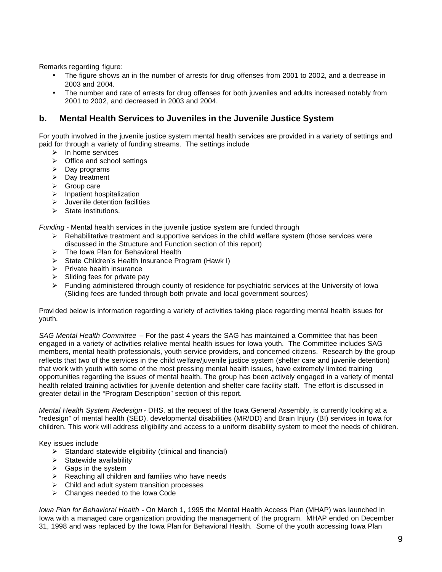Remarks regarding figure:

- The figure shows an in the number of arrests for drug offenses from 2001 to 2002, and a decrease in 2003 and 2004.
- The number and rate of arrests for drug offenses for both juveniles and adults increased notably from 2001 to 2002, and decreased in 2003 and 2004.

## **b. Mental Health Services to Juveniles in the Juvenile Justice System**

For youth involved in the juvenile justice system mental health services are provided in a variety of settings and paid for through a variety of funding streams. The settings include

- $\triangleright$  In home services
- $\triangleright$  Office and school settings
- $\triangleright$  Day programs
- $\triangleright$  Day treatment
- $\triangleright$  Group care
- $\blacktriangleright$  Inpatient hospitalization
- $\blacktriangleright$  Juvenile detention facilities
- $\triangleright$  State institutions.

*Funding* - Mental health services in the juvenile justice system are funded through

- $\triangleright$  Rehabilitative treatment and supportive services in the child welfare system (those services were discussed in the Structure and Function section of this report)
- $\triangleright$  The Iowa Plan for Behavioral Health
- ÿ State Children's Health Insurance Program (Hawk I)
- $\triangleright$  Private health insurance
- $\triangleright$  Sliding fees for private pay
- $\triangleright$  Funding administered through county of residence for psychiatric services at the University of Iowa (Sliding fees are funded through both private and local government sources)

Provi ded below is information regarding a variety of activities taking place regarding mental health issues for youth.

*SAG Mental Health Committee* – For the past 4 years the SAG has maintained a Committee that has been engaged in a variety of activities relative mental health issues for Iowa youth. The Committee includes SAG members, mental health professionals, youth service providers, and concerned citizens. Research by the group reflects that two of the services in the child welfare/juvenile justice system (shelter care and juvenile detention) that work with youth with some of the most pressing mental health issues, have extremely limited training opportunities regarding the issues of mental health. The group has been actively engaged in a variety of mental health related training activities for juvenile detention and shelter care facility staff. The effort is discussed in greater detail in the "Program Description" section of this report.

*Mental Health System Redesign* - DHS, at the request of the Iowa General Assembly, is currently looking at a "redesign" of mental health (SED), developmental disabilities (MR/DD) and Brain Injury (BI) services in Iowa for children. This work will address eligibility and access to a uniform disability system to meet the needs of children.

Key issues include

- $\triangleright$  Standard statewide eligibility (clinical and financial)
- $\triangleright$  Statewide availability
- $\triangleright$  Gaps in the system
- $\triangleright$  Reaching all children and families who have needs
- $\triangleright$  Child and adult system transition processes
- $\triangleright$  Changes needed to the Iowa Code

*Iowa Plan for Behavioral Health* - On March 1, 1995 the Mental Health Access Plan (MHAP) was launched in Iowa with a managed care organization providing the management of the program. MHAP ended on December 31, 1998 and was replaced by the Iowa Plan for Behavioral Health. Some of the youth accessing Iowa Plan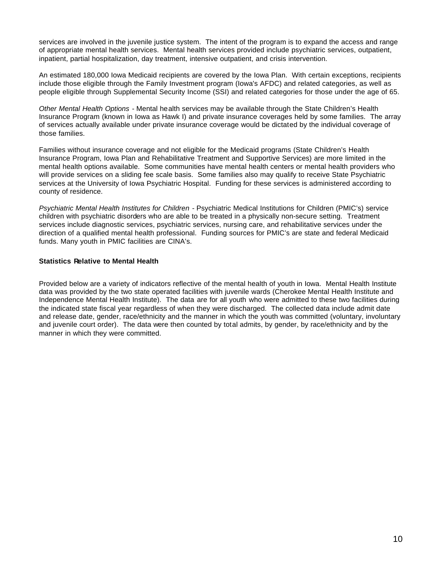services are involved in the juvenile justice system. The intent of the program is to expand the access and range of appropriate mental health services. Mental health services provided include psychiatric services, outpatient, inpatient, partial hospitalization, day treatment, intensive outpatient, and crisis intervention.

An estimated 180,000 Iowa Medicaid recipients are covered by the Iowa Plan. With certain exceptions, recipients include those eligible through the Family Investment program (Iowa's AFDC) and related categories, as well as people eligible through Supplemental Security Income (SSI) and related categories for those under the age of 65.

*Other Mental Health Options* - Mental health services may be available through the State Children's Health Insurance Program (known in Iowa as Hawk I) and private insurance coverages held by some families. The array of services actually available under private insurance coverage would be dictated by the individual coverage of those families.

Families without insurance coverage and not eligible for the Medicaid programs (State Children's Health Insurance Program, Iowa Plan and Rehabilitative Treatment and Supportive Services) are more limited in the mental health options available. Some communities have mental health centers or mental health providers who will provide services on a sliding fee scale basis. Some families also may qualify to receive State Psychiatric services at the University of Iowa Psychiatric Hospital. Funding for these services is administered according to county of residence.

*Psychiatric Mental Health Institutes for Children* - Psychiatric Medical Institutions for Children (PMIC's) service children with psychiatric disorders who are able to be treated in a physically non-secure setting. Treatment services include diagnostic services, psychiatric services, nursing care, and rehabilitative services under the direction of a qualified mental health professional. Funding sources for PMIC's are state and federal Medicaid funds. Many youth in PMIC facilities are CINA's.

#### **Statistics Relative to Mental Health**

Provided below are a variety of indicators reflective of the mental health of youth in Iowa. Mental Health Institute data was provided by the two state operated facilities with juvenile wards (Cherokee Mental Health Institute and Independence Mental Health Institute). The data are for all youth who were admitted to these two facilities during the indicated state fiscal year regardless of when they were discharged. The collected data include admit date and release date, gender, race/ethnicity and the manner in which the youth was committed (voluntary, involuntary and juvenile court order). The data were then counted by total admits, by gender, by race/ethnicity and by the manner in which they were committed.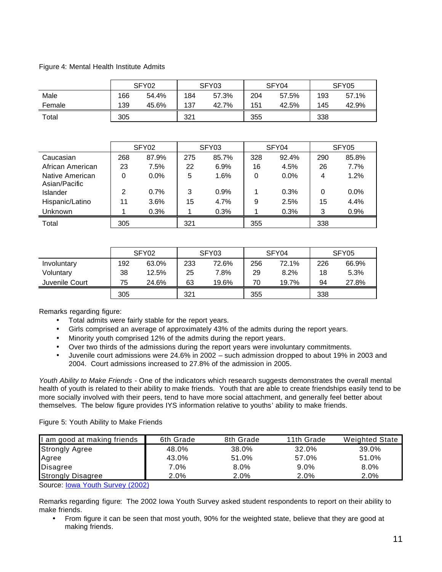#### Figure 4: Mental Health Institute Admits

|        |     | SFY <sub>02</sub> |     | SFY03 |     | SFY04 |     | SFY <sub>05</sub> |
|--------|-----|-------------------|-----|-------|-----|-------|-----|-------------------|
| Male   | 166 | 54.4%             | 184 | 57.3% | 204 | 57.5% | 193 | 57.1%             |
| Female | 139 | 45.6%             | 137 | 42.7% | 151 | 42.5% | 145 | 42.9%             |
| Total  | 305 |                   | 321 |       | 355 |       | 338 |                   |

|                                  |     | SFY <sub>02</sub> |     | SFY03 |     | SFY04   |     | SFY05 |
|----------------------------------|-----|-------------------|-----|-------|-----|---------|-----|-------|
| Caucasian                        | 268 | 87.9%             | 275 | 85.7% | 328 | 92.4%   | 290 | 85.8% |
| African American                 | 23  | 7.5%              | 22  | 6.9%  | 16  | 4.5%    | 26  | 7.7%  |
| Native American<br>Asian/Pacific | 0   | 0.0%              | 5   | 1.6%  | 0   | $0.0\%$ | 4   | 1.2%  |
| Islander                         | 2   | 0.7%              | 3   | 0.9%  |     | 0.3%    | 0   | 0.0%  |
| Hispanic/Latino                  | 11  | 3.6%              | 15  | 4.7%  | 9   | 2.5%    | 15  | 4.4%  |
| <b>Unknown</b>                   |     | 0.3%              |     | 0.3%  |     | 0.3%    | 3   | 0.9%  |
| Total                            | 305 |                   | 321 |       | 355 |         | 338 |       |

|                |     | SFY02 |     | SFY03 |     | SFY04 |     | SFY05 |
|----------------|-----|-------|-----|-------|-----|-------|-----|-------|
| Involuntary    | 192 | 63.0% | 233 | 72.6% | 256 | 72.1% | 226 | 66.9% |
| Voluntary      | 38  | 12.5% | 25  | 7.8%  | 29  | 8.2%  | 18  | 5.3%  |
| Juvenile Court | 75  | 24.6% | 63  | 19.6% | 70  | 19.7% | 94  | 27.8% |
|                | 305 |       | 321 |       | 355 |       | 338 |       |

Remarks regarding figure:

- Total admits were fairly stable for the report years.
- Girls comprised an average of approximately 43% of the admits during the report years.
- Minority youth comprised 12% of the admits during the report years.
- Over two thirds of the admissions during the report years were involuntary commitments.
- Juvenile court admissions were 24.6% in 2002 such admission dropped to about 19% in 2003 and 2004. Court admissions increased to 27.8% of the admission in 2005.

*Youth Ability to Make Friends* - One of the indicators which research suggests demonstrates the overall mental health of youth is related to their ability to make friends. Youth that are able to create friendships easily tend to be more socially involved with their peers, tend to have more social attachment, and generally feel better about themselves. The below figure provides IYS information relative to youths' ability to make friends.

#### Figure 5: Youth Ability to Make Friends

| I am good at making friends | 6th Grade | 8th Grade | 11th Grade | <b>Weighted State</b> |
|-----------------------------|-----------|-----------|------------|-----------------------|
| <b>Strongly Agree</b>       | 48.0%     | 38.0%     | 32.0%      | 39.0%                 |
| Agree                       | 43.0%     | 51.0%     | 57.0%      | 51.0%                 |
| Disagree                    | 7.0%      | $8.0\%$   | $9.0\%$    | 8.0%                  |
| <b>Strongly Disagree</b>    | $2.0\%$   | 2.0%      | 2.0%       | $2.0\%$               |

Source: **lowa Youth Survey (2002)** 

Remarks regarding figure: The 2002 Iowa Youth Survey asked student respondents to report on their ability to make friends.

• From figure it can be seen that most youth, 90% for the weighted state, believe that they are good at making friends.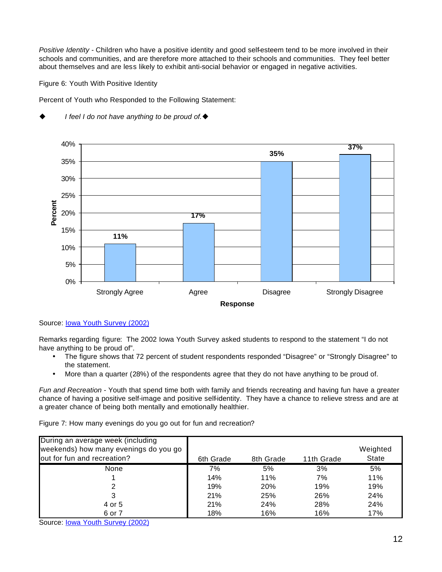*Positive Identity* - Children who have a positive identity and good self-esteem tend to be more involved in their schools and communities, and are therefore more attached to their schools and communities. They feel better about themselves and are less likely to exhibit anti-social behavior or engaged in negative activities.

Figure 6: Youth With Positive Identity

Percent of Youth who Responded to the Following Statement:



*I* feel *I* do not have anything to be proud of. ♦

Source: Iowa Youth Survey (2002)

Remarks regarding figure: The 2002 Iowa Youth Survey asked students to respond to the statement "I do not have anything to be proud of".

- The figure shows that 72 percent of student respondents responded "Disagree" or "Strongly Disagree" to the statement.
- More than a quarter (28%) of the respondents agree that they do not have anything to be proud of.

*Fun and Recreation* - Youth that spend time both with family and friends recreating and having fun have a greater chance of having a positive self-image and positive self-identity. They have a chance to relieve stress and are at a greater chance of being both mentally and emotionally healthier.

Figure 7: How many evenings do you go out for fun and recreation?

| During an average week (including<br>weekends) how many evenings do you go<br>out for fun and recreation? | 6th Grade | 8th Grade | 11th Grade | Weighted<br>State |
|-----------------------------------------------------------------------------------------------------------|-----------|-----------|------------|-------------------|
| None                                                                                                      | 7%        | 5%        | 3%         | 5%                |
|                                                                                                           | 14%       | 11%       | 7%         | 11%               |
|                                                                                                           | 19%       | 20%       | 19%        | 19%               |
|                                                                                                           | 21%       | 25%       | 26%        | 24%               |
| 4 or 5                                                                                                    | 21%       | 24%       | 28%        | 24%               |
| 6 or 7                                                                                                    | 18%       | 16%       | 16%        | 17%               |

Source: Iowa Youth Survey (2002)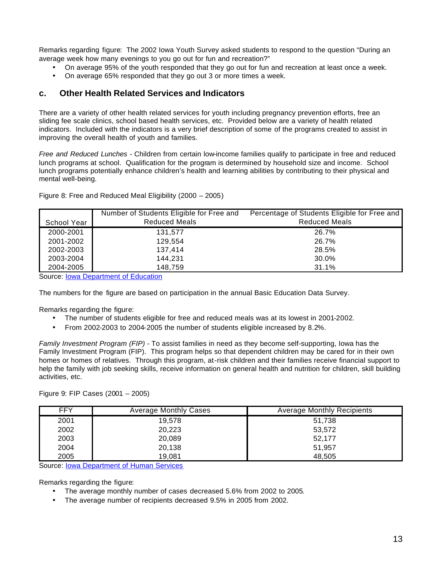Remarks regarding figure: The 2002 Iowa Youth Survey asked students to respond to the question "During an average week how many evenings to you go out for fun and recreation?"

- On average 95% of the youth responded that they go out for fun and recreation at least once a week.
- On average 65% responded that they go out 3 or more times a week.

#### **c. Other Health Related Services and Indicators**

There are a variety of other health related services for youth including pregnancy prevention efforts, free an sliding fee scale clinics, school based health services, etc. Provided below are a variety of health related indicators. Included with the indicators is a very brief description of some of the programs created to assist in improving the overall health of youth and families.

*Free and Reduced Lunches* - Children from certain low-income families qualify to participate in free and reduced lunch programs at school. Qualification for the program is determined by household size and income. School lunch programs potentially enhance children's health and learning abilities by contributing to their physical and mental well-being.

|             | Number of Students Eligible for Free and | Percentage of Students Eligible for Free and |
|-------------|------------------------------------------|----------------------------------------------|
| School Year | <b>Reduced Meals</b>                     | <b>Reduced Meals</b>                         |
| 2000-2001   | 131.577                                  | 26.7%                                        |
| 2001-2002   | 129.554                                  | 26.7%                                        |
| 2002-2003   | 137.414                                  | 28.5%                                        |
| 2003-2004   | 144,231                                  | 30.0%                                        |
| 2004-2005   | 148.759                                  | 31.1%                                        |

Figure 8: Free and Reduced Meal Eligibility (2000 – 2005)

Source: Iowa Department of Education

The numbers for the figure are based on participation in the annual Basic Education Data Survey.

Remarks regarding the figure:

- The number of students eligible for free and reduced meals was at its lowest in 2001-2002.
- From 2002-2003 to 2004-2005 the number of students eligible increased by 8.2%.

*Family Investment Program (FIP)* - To assist families in need as they become self-supporting, Iowa has the Family Investment Program (FIP). This program helps so that dependent children may be cared for in their own homes or homes of relatives. Through this program, at-risk children and their families receive financial support to help the family with job seeking skills, receive information on general health and nutrition for children, skill building activities, etc.

Figure 9: FIP Cases (2001 – 2005)

| <b>FFY</b> | Average Monthly Cases | <b>Average Monthly Recipients</b> |
|------------|-----------------------|-----------------------------------|
| 2001       | 19.578                | 51,738                            |
| 2002       | 20,223                | 53.572                            |
| 2003       | 20,089                | 52.177                            |
| 2004       | 20,138                | 51.957                            |
| 2005       | 19,081                | 48.505                            |

Source: Iowa Department of Human Services

Remarks regarding the figure:

- The average monthly number of cases decreased 5.6% from 2002 to 2005.
- The average number of recipients decreased 9.5% in 2005 from 2002.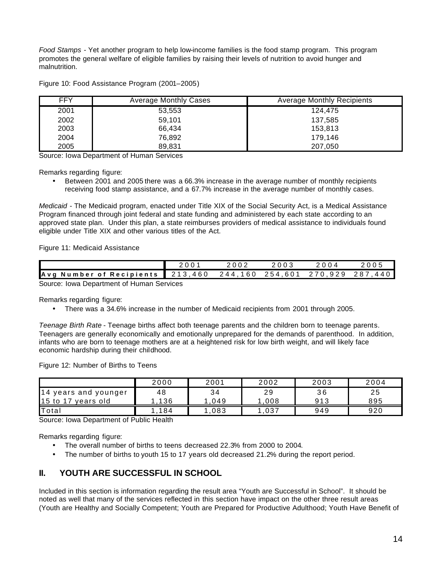*Food Stamps* - Yet another program to help low-income families is the food stamp program. This program promotes the general welfare of eligible families by raising their levels of nutrition to avoid hunger and malnutrition.

Figure 10: Food Assistance Program (2001–2005)

| <b>FFY</b> | <b>Average Monthly Cases</b> | <b>Average Monthly Recipients</b> |
|------------|------------------------------|-----------------------------------|
| 2001       | 53,553                       | 124.475                           |
| 2002       | 59.101                       | 137.585                           |
| 2003       | 66.434                       | 153,813                           |
| 2004       | 76.892                       | 179.146                           |
| 2005       | 89,831                       | 207,050                           |

Source: Iowa Department of Human Services

Remarks regarding figure:

• Between 2001 and 2005 there was a 66.3% increase in the average number of monthly recipients receiving food stamp assistance, and a 67.7% increase in the average number of monthly cases.

*Medicaid* - The Medicaid program, enacted under Title XIX of the Social Security Act, is a Medical Assistance Program financed through joint federal and state funding and administered by each state according to an approved state plan. Under this plan, a state reimburses providers of medical assistance to individuals found eligible under Title XIX and other various titles of the Act.

Figure 11: Medicaid Assistance

|                                           |  | 2002            |  | 2 በ በ 4 |               |  |  |  |
|-------------------------------------------|--|-----------------|--|---------|---------------|--|--|--|
| Avg Number of Recipients 213,460          |  | 244.160 254.601 |  | 270929  | 44 O<br>- 287 |  |  |  |
| Source: Jown Doppriment of Human Services |  |                 |  |         |               |  |  |  |

Source: Iowa Department of Human Services

Remarks regarding figure:

• There was a 34.6% increase in the number of Medicaid recipients from 2001 through 2005.

*Teenage Birth Rate* - Teenage births affect both teenage parents and the children born to teenage parents. Teenagers are generally economically and emotionally unprepared for the demands of parenthood. In addition, infants who are born to teenage mothers are at a heightened risk for low birth weight, and will likely face economic hardship during their childhood.

Figure 12: Number of Births to Teens

|                       | 2000 | 2001 | 2002 | 2003 | 2004 |
|-----------------------|------|------|------|------|------|
| 14 years and younger  | 48   | 34   | 29   | 36   | 25   |
| 15 to 17<br>vears old | 136  | 049  | 008  | 913  | 895  |
| Total                 | 184  | 083  | ,037 | 949  | 920  |

Source: Iowa Department of Public Health

Remarks regarding figure:

- The overall number of births to teens decreased 22.3% from 2000 to 2004.
- The number of births to youth 15 to 17 years old decreased 21.2% during the report period.

## **II. YOUTH ARE SUCCESSFUL IN SCHOOL**

Included in this section is information regarding the result area "Youth are Successful in School". It should be noted as well that many of the services reflected in this section have impact on the other three result areas (Youth are Healthy and Socially Competent; Youth are Prepared for Productive Adulthood; Youth Have Benefit of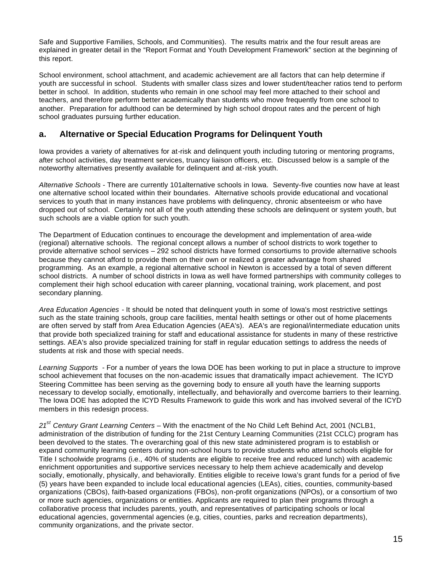Safe and Supportive Families, Schools, and Communities). The results matrix and the four result areas are explained in greater detail in the "Report Format and Youth Development Framework" section at the beginning of this report.

School environment, school attachment, and academic achievement are all factors that can help determine if youth are successful in school. Students with smaller class sizes and lower student/teacher ratios tend to perform better in school. In addition, students who remain in one school may feel more attached to their school and teachers, and therefore perform better academically than students who move frequently from one school to another. Preparation for adulthood can be determined by high school dropout rates and the percent of high school graduates pursuing further education.

## **a. Alternative or Special Education Programs for Delinquent Youth**

Iowa provides a variety of alternatives for at-risk and delinquent youth including tutoring or mentoring programs, after school activities, day treatment services, truancy liaison officers, etc. Discussed below is a sample of the noteworthy alternatives presently available for delinquent and at-risk youth.

*Alternative Schools* - There are currently 101alternative schools in Iowa. Seventy-five counties now have at least one alternative school located within their boundaries. Alternative schools provide educational and vocational services to youth that in many instances have problems with delinquency, chronic absenteeism or who have dropped out of school. Certainly not all of the youth attending these schools are delinquent or system youth, but such schools are a viable option for such youth.

The Department of Education continues to encourage the development and implementation of area-wide (regional) alternative schools. The regional concept allows a number of school districts to work together to provide alternative school services – 292 school districts have formed consortiums to provide alternative schools because they cannot afford to provide them on their own or realized a greater advantage from shared programming. As an example, a regional alternative school in Newton is accessed by a total of seven different school districts. A number of school districts in Iowa as well have formed partnerships with community colleges to complement their high school education with career planning, vocational training, work placement, and post secondary planning.

*Area Education Agencies* - It should be noted that delinquent youth in some of Iowa's most restrictive settings such as the state training schools, group care facilities, mental health settings or other out of home placements are often served by staff from Area Education Agencies (AEA's). AEA's are regional/intermediate education units that provide both specialized training for staff and educational assistance for students in many of these restrictive settings. AEA's also provide specialized training for staff in regular education settings to address the needs of students at risk and those with special needs.

*Learning Supports* - For a number of years the Iowa DOE has been working to put in place a structure to improve school achievement that focuses on the non-academic issues that dramatically impact achievement. The ICYD Steering Committee has been serving as the governing body to ensure all youth have the learning supports necessary to develop socially, emotionally, intellectually, and behaviorally and overcome barriers to their learning. The Iowa DOE has adopted the ICYD Results Framework to guide this work and has involved several of the ICYD members in this redesign process.

*21st Century Grant Learning Centers* – With the enactment of the No Child Left Behind Act, 2001 (NCLB1, administration of the distribution of funding for the 21st Century Learning Communities (21st CCLC) program has been devolved to the states. Th e overarching goal of this new state administered program is to establish or expand community learning centers during non-school hours to provide students who attend schools eligible for Title I schoolwide programs (i.e., 40% of students are eligible to receive free and reduced lunch) with academic enrichment opportunities and supportive services necessary to help them achieve academically and develop socially, emotionally, physically, and behaviorally. Entities eligible to receive Iowa's grant funds for a period of five (5) years have been expanded to include local educational agencies (LEAs), cities, counties, community-based organizations (CBOs), faith-based organizations (FBOs), non-profit organizations (NPOs), or a consortium of two or more such agencies, organizations or entities. Applicants are required to plan their programs through a collaborative process that includes parents, youth, and representatives of participating schools or local educational agencies, governmental agencies (e.g, cities, counties, parks and recreation departments), community organizations, and the private sector.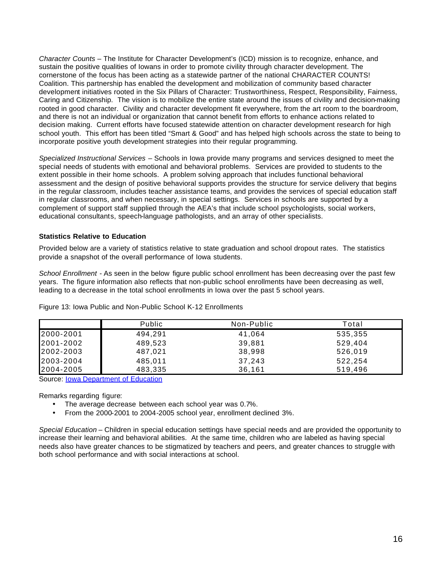*Character Counts* – The Institute for Character Development's (ICD) mission is to recognize, enhance, and sustain the positive qualities of Iowans in order to promote civility through character development. The cornerstone of the focus has been acting as a statewide partner of the national CHARACTER COUNTS! Coalition. This partnership has enabled the development and mobilization of community based character development initiatives rooted in the Six Pillars of Character: Trustworthiness, Respect, Responsibility, Fairness, Caring and Citizenship. The vision is to mobilize the entire state around the issues of civility and decision-making rooted in good character. Civility and character development fit everywhere, from the art room to the boardroom, and there is not an individual or organization that cannot benefit from efforts to enhance actions related to decision making. Current efforts have focused statewide attention on character development research for high school youth. This effort has been titled "Smart & Good" and has helped high schools across the state to being to incorporate positive youth development strategies into their regular programming.

*Specialized Instructional Services* – Schools in Iowa provide many programs and services designed to meet the special needs of students with emotional and behavioral problems. Services are provided to students to the extent possible in their home schools. A problem solving approach that includes functional behavioral assessment and the design of positive behavioral supports provides the structure for service delivery that begins in the regular classroom, includes teacher assistance teams, and provides the services of special education staff in regular classrooms, and when necessary, in special settings. Services in schools are supported by a complement of support staff supplied through the AEA's that include school psychologists, social workers, educational consultants, speech-language pathologists, and an array of other specialists.

#### **Statistics Relative to Education**

Provided below are a variety of statistics relative to state graduation and school dropout rates. The statistics provide a snapshot of the overall performance of Iowa students.

*School Enrollment* - As seen in the below figure public school enrollment has been decreasing over the past few years. The figure information also reflects that non-public school enrollments have been decreasing as well, leading to a decrease in the total school enrollments in Iowa over the past 5 school years.

|           | <b>Public</b> | Non-Public | Total   |
|-----------|---------------|------------|---------|
| 2000-2001 | 494.291       | 41,064     | 535,355 |
| 2001-2002 | 489.523       | 39.881     | 529.404 |
| 2002-2003 | 487.021       | 38,998     | 526,019 |
| 2003-2004 | 485.011       | 37.243     | 522,254 |
| 2004-2005 | 483,335       | 36.161     | 519.496 |

Figure 13: Iowa Public and Non-Public School K-12 Enrollments

Source: Iowa Department of Education

Remarks regarding figure:

- The average decrease between each school year was 0.7%.
- From the 2000-2001 to 2004-2005 school year, enrollment declined 3%.

*Special Education* – Children in special education settings have special needs and are provided the opportunity to increase their learning and behavioral abilities. At the same time, children who are labeled as having special needs also have greater chances to be stigmatized by teachers and peers, and greater chances to struggle with both school performance and with social interactions at school.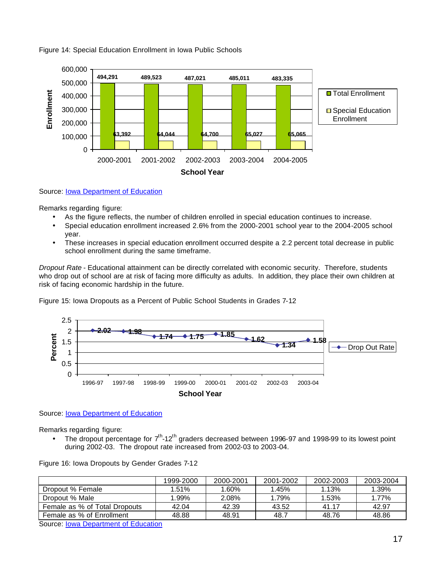

#### Figure 14: Special Education Enrollment in Iowa Public Schools

Source: Iowa Department of Education

Remarks regarding figure:

- As the figure reflects, the number of children enrolled in special education continues to increase.
- Special education enrollment increased 2.6% from the 2000-2001 school year to the 2004-2005 school year.
- These increases in special education enrollment occurred despite a 2.2 percent total decrease in public school enrollment during the same timeframe.

*Dropout Rate* - Educational attainment can be directly correlated with economic security. Therefore, students who drop out of school are at risk of facing more difficulty as adults. In addition, they place their own children at risk of facing economic hardship in the future.

Figure 15: Iowa Dropouts as a Percent of Public School Students in Grades 7-12



Source: Iowa Department of Education

Remarks regarding figure:

• The dropout percentage for  $7<sup>th</sup>$ -12<sup>th</sup> graders decreased between 1996-97 and 1998-99 to its lowest point during 2002-03. The dropout rate increased from 2002-03 to 2003-04.

|                               | 1999-2000 | 2000-2001 | 2001-2002 | 2002-2003 | 2003-2004 |
|-------------------------------|-----------|-----------|-----------|-----------|-----------|
| Dropout % Female              | 1.51%     | 1.60%     | 1.45%     | 1.13%     | 1.39%     |
| Dropout % Male                | 1.99%     | 2.08%     | 1.79%     | 1.53%     | 1.77%     |
| Female as % of Total Dropouts | 42.04     | 42.39     | 43.52     | 41 17     | 42.97     |
| Female as % of Enrollment     | 48.88     | 48.91     | 48.7      | 48.76     | 48.86     |

Figure 16: Iowa Dropouts by Gender Grades 7-12

Source: Iowa Department of Education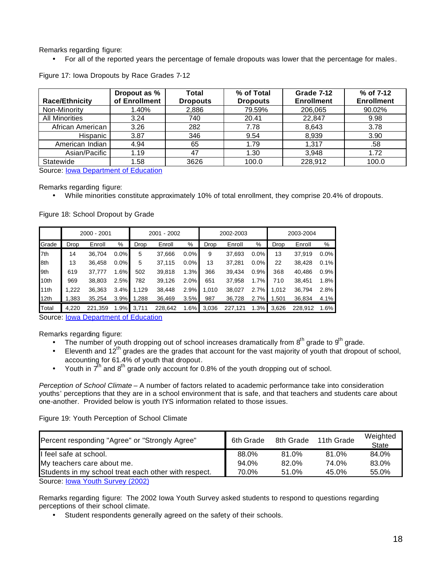Remarks regarding figure:

• For all of the reported years the percentage of female dropouts was lower that the percentage for males.

|                       | Dropout as %  | Total           | % of Total      | Grade 7-12        | % of 7-12         |
|-----------------------|---------------|-----------------|-----------------|-------------------|-------------------|
| <b>Race/Ethnicity</b> | of Enrollment | <b>Dropouts</b> | <b>Dropouts</b> | <b>Enrollment</b> | <b>Enrollment</b> |
| Non-Minority          | 1.40%         | 2,886           | 79.59%          | 206,065           | 90.02%            |
| <b>All Minorities</b> | 3.24          | 740             | 20.41           | 22,847            | 9.98              |
| African American      | 3.26          | 282             | 7.78            | 8,643             | 3.78              |
| Hispanic              | 3.87          | 346             | 9.54            | 8,939             | 3.90              |
| American Indian       | 4.94          | 65              | 1.79            | 1,317             | .58               |
| Asian/Pacific         | 1.19          | 47              | 1.30            | 3.948             | 1.72              |
| Statewide             | 1.58          | 3626            | 100.0           | 228,912           | 100.0             |

Figure 17: Iowa Dropouts by Race Grades 7-12

Source: **lowa Department of Education** 

Remarks regarding figure:

• While minorities constitute approximately 10% of total enrollment, they comprise 20.4% of dropouts.

Figure 18: School Dropout by Grade

|       |       | 2000 - 2001 |         | 2001 - 2002 |         | 2002-2003 |       |         | 2003-2004 |       |         |         |
|-------|-------|-------------|---------|-------------|---------|-----------|-------|---------|-----------|-------|---------|---------|
| Grade | Drop  | Enroll      | %       | Drop        | Enroll  | %         | Drop  | Enroll  | %         | Drop  | Enroll  | %       |
| 7th   | 14    | 36,704      | $0.0\%$ | 5           | 37,666  | 0.0%      | 9     | 37,693  | 0.0%      | 13    | 37,919  | $0.0\%$ |
| 8th   | 13    | 36,458      | $0.0\%$ | 5           | 37,115  | 0.0%      | 13    | 37,281  | $0.0\%$   | 22    | 38,428  | 0.1%    |
| 9th   | 619   | 37.777      | 1.6%    | 502         | 39,818  | 1.3%      | 366   | 39,434  | 0.9%      | 368   | 40,486  | $0.9\%$ |
| 10th  | 969   | 38,803      | 2.5%    | 782         | 39,126  | 2.0%      | 651   | 37,958  | 1.7%      | 710   | 38,451  | 1.8%    |
| 11th  | 1.222 | 36,363      | 3.4%    | 1.129       | 38.448  | 2.9%      | 1.010 | 38,027  | 2.7%      | 1,012 | 36,794  | 2.8%    |
| 12th  | 1,383 | 35,254      | 3.9%    | 1,288       | 36,469  | 3.5%      | 987   | 36,728  | 2.7%      | 1,501 | 36,834  | 4.1%    |
| Total | 4.220 | 221,359     | 1.9%    | 3,711       | 228,642 | 1.6%      | 3,036 | 227.121 | 1.3%      | 3,626 | 228,912 | 1.6%    |

Source: **lowa Department of Education** 

Remarks regarding figure:

- The number of youth dropping out of school increases dramatically from  $8<sup>th</sup>$  grade to  $9<sup>th</sup>$  grade.
- $\bullet$  Eleventh and 12<sup>th</sup> grades are the grades that account for the vast majority of youth that dropout of school, accounting for 61.4% of youth that dropout.
- Youth in  $\bar{7}^{\rm h}$  and  $8^{\rm th}$  grade only account for 0.8% of the youth dropping out of school.

*Perception of School Climate* – A number of factors related to academic performance take into consideration youths' perceptions that they are in a school environment that is safe, and that teachers and students care about one-another. Provided below is youth IYS information related to those issues.

Figure 19: Youth Perception of School Climate

| Percent responding "Agree" or "Strongly Agree"       | 6th Grade | 8th Grade | 11th Grade | Weighted<br><b>State</b> |
|------------------------------------------------------|-----------|-----------|------------|--------------------------|
| I feel safe at school.                               | 88.0%     | 81.0%     | 81.0%      | 84.0%                    |
| My teachers care about me.                           | 94.0%     | 82.0%     | 74.0%      | 83.0%                    |
| Students in my school treat each other with respect. | 70.0%     | 51.0%     | 45.0%      | 55.0%                    |
| Source: Iowa Youth Survey (2002)                     |           |           |            |                          |

Remarks regarding figure: The 2002 Iowa Youth Survey asked students to respond to questions regarding perceptions of their school climate.

• Student respondents generally agreed on the safety of their schools.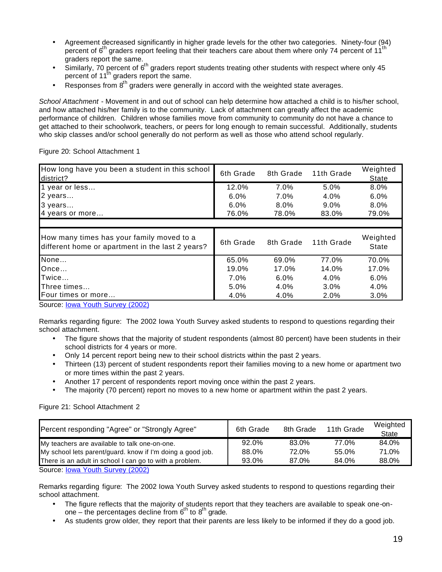- Agreement decreased significantly in higher grade levels for the other two categories. Ninety-four (94) percent of  $6<sup>th</sup>$  graders report feeling that their teachers care about them where only 74 percent of 11<sup>t</sup> graders report the same.
- Similarly,  $70$  percent of  $6<sup>th</sup>$  graders report students treating other students with respect where only 45 percent of 11<sup>th</sup> graders report the same.
- Responses from  $8<sup>th</sup>$  graders were generally in accord with the weighted state averages.

*School Attachment* - Movement in and out of school can help determine how attached a child is to his/her school, and how attached his/her family is to the community. Lack of attachment can greatly affect the academic performance of children. Children whose families move from community to community do not have a chance to get attached to their schoolwork, teachers, or peers for long enough to remain successful. Additionally, students who skip classes and/or school generally do not perform as well as those who attend school regularly.

Figure 20: School Attachment 1

| How long have you been a student in this school<br>district?                                  | 6th Grade | 8th Grade | 11th Grade | Weighted<br>State |
|-----------------------------------------------------------------------------------------------|-----------|-----------|------------|-------------------|
| 1 year or less                                                                                | 12.0%     | 7.0%      | 5.0%       | 8.0%              |
| 2 years                                                                                       | 6.0%      | 7.0%      | 4.0%       | 6.0%              |
| 3 years                                                                                       | 6.0%      | 8.0%      | $9.0\%$    | 8.0%              |
| 4 years or more                                                                               | 76.0%     | 78.0%     | 83.0%      | 79.0%             |
|                                                                                               |           |           |            |                   |
| How many times has your family moved to a<br>different home or apartment in the last 2 years? | 6th Grade | 8th Grade | 11th Grade | Weighted<br>State |
| None                                                                                          | 65.0%     | 69.0%     | 77.0%      | 70.0%             |
| Once                                                                                          | 19.0%     | 17.0%     | 14.0%      | 17.0%             |
| Twice                                                                                         | 7.0%      | 6.0%      | 4.0%       | 6.0%              |
| Three times                                                                                   | 5.0%      | 4.0%      | $3.0\%$    | 4.0%              |
| <b>I</b> Four times or more                                                                   | 4.0%      | 4.0%      | 2.0%       | $3.0\%$           |

Source: **lowa Youth Survey (2002)** 

Remarks regarding figure: The 2002 Iowa Youth Survey asked students to respond to questions regarding their school attachment.

- The figure shows that the majority of student respondents (almost 80 percent) have been students in their school districts for 4 years or more.
- Only 14 percent report being new to their school districts within the past 2 years.
- Thirteen (13) percent of student respondents report their families moving to a new home or apartment two or more times within the past 2 years.
- Another 17 percent of respondents report moving once within the past 2 years.
- The majority (70 percent) report no moves to a new home or apartment within the past 2 years.

Figure 21: School Attachment 2

| Percent responding "Agree" or "Strongly Agree"             | 6th Grade | 8th Grade | 11th Grade | Weighted<br>State |
|------------------------------------------------------------|-----------|-----------|------------|-------------------|
| My teachers are available to talk one-on-one.              | 92.0%     | 83.0%     | 77.0%      | 84.0%             |
| My school lets parent/guard. know if I'm doing a good job. | 88.0%     | 72.0%     | 55.0%      | 71.0%             |
| There is an adult in school I can go to with a problem.    | 93.0%     | 87.0%     | 84.0%      | 88.0%             |
| Source: Iowa Youth Survey (2002)                           |           |           |            |                   |

Remarks regarding figure: The 2002 Iowa Youth Survey asked students to respond to questions regarding their school attachment.

- The figure reflects that the majority of students report that they teachers are available to speak one-onone – the percentages decline from  $6<sup>th</sup>$  to  $8<sup>th</sup>$  grade.
- As students grow older, they report that their parents are less likely to be informed if they do a good job.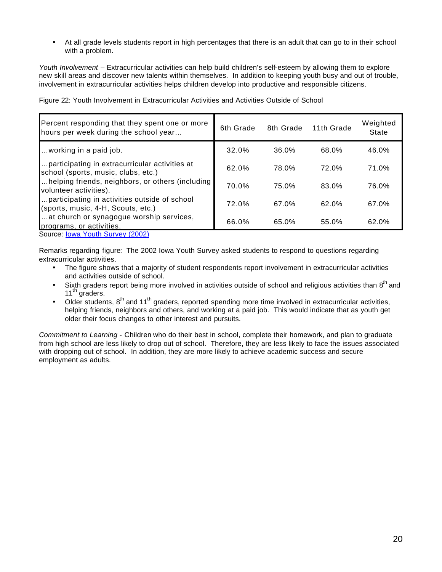• At all grade levels students report in high percentages that there is an adult that can go to in their school with a problem.

*Youth Involvement* – Extracurricular activities can help build children's self-esteem by allowing them to explore new skill areas and discover new talents within themselves. In addition to keeping youth busy and out of trouble, involvement in extracurricular activities helps children develop into productive and responsible citizens.

Figure 22: Youth Involvement in Extracurricular Activities and Activities Outside of School

| Percent responding that they spent one or more<br>hours per week during the school year | 6th Grade | 8th Grade | 11th Grade | Weighted<br>State |
|-----------------------------------------------------------------------------------------|-----------|-----------|------------|-------------------|
| working in a paid job.                                                                  | 32.0%     | 36.0%     | 68.0%      | 46.0%             |
| participating in extracurricular activities at<br>school (sports, music, clubs, etc.)   | 62.0%     | 78.0%     | 72.0%      | 71.0%             |
| helping friends, neighbors, or others (including<br>volunteer activities).              | 70.0%     | 75.0%     | 83.0%      | 76.0%             |
| participating in activities outside of school<br>(sports, music, 4-H, Scouts, etc.)     | 72.0%     | 67.0%     | 62.0%      | 67.0%             |
| at church or synagogue worship services,<br>programs, or activities.<br>0.00001         | 66.0%     | 65.0%     | 55.0%      | 62.0%             |

Source: **lowa Youth Survey (2002)** 

Remarks regarding figure: The 2002 Iowa Youth Survey asked students to respond to questions regarding extracurricular activities.

- The figure shows that a majority of student respondents report involvement in extracurricular activities and activities outside of school.
- Sixth graders report being more involved in activities outside of school and religious activities than 8<sup>th</sup> and 11<sup>th</sup> graders.
- Older students,  $8^{th}$  and 11<sup>th</sup> graders, reported spending more time involved in extracurricular activities, helping friends, neighbors and others, and working at a paid job. This would indicate that as youth get older their focus changes to other interest and pursuits.

*Commitment to Learning* - Children who do their best in school, complete their homework, and plan to graduate from high school are less likely to drop out of school. Therefore, they are less likely to face the issues associated with dropping out of school. In addition, they are more likely to achieve academic success and secure employment as adults.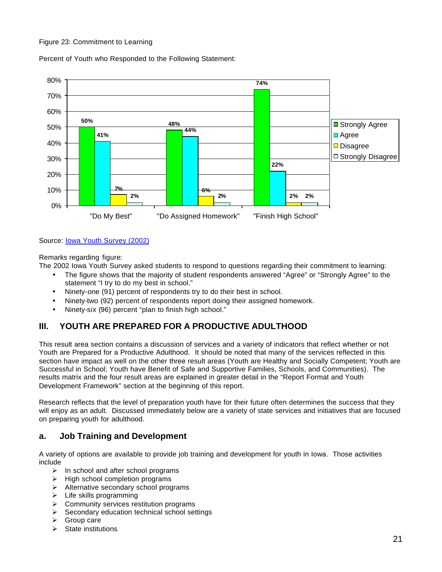#### Figure 23: Commitment to Learning

Percent of Youth who Responded to the Following Statement:



#### Source: Iowa Youth Survey (2002)

Remarks regarding figure:

The 2002 Iowa Youth Survey asked students to respond to questions regarding their commitment to learning:

- The figure shows that the majority of student respondents answered "Agree" or "Strongly Agree" to the statement "I try to do my best in school."
- Ninety-one (91) percent of respondents try to do their best in school.
- Ninety-two (92) percent of respondents report doing their assigned homework.
- Ninety-six (96) percent "plan to finish high school."

## **III. YOUTH ARE PREPARED FOR A PRODUCTIVE ADULTHOOD**

This result area section contains a discussion of services and a variety of indicators that reflect whether or not Youth are Prepared for a Productive Adulthood. It should be noted that many of the services reflected in this section have impact as well on the other three result areas (Youth are Healthy and Socially Competent; Youth are Successful in School; Youth have Benefit of Safe and Supportive Families, Schools, and Communities). The results matrix and the four result areas are explained in greater detail in the "Report Format and Youth Development Framework" section at the beginning of this report.

Research reflects that the level of preparation youth have for their future often determines the success that they will enjoy as an adult. Discussed immediately below are a variety of state services and initiatives that are focused on preparing youth for adulthood.

## **a. Job Training and Development**

A variety of options are available to provide job training and development for youth in Iowa. Those activities include

- $\triangleright$  In school and after school programs
- $\triangleright$  High school completion programs
- $\triangleright$  Alternative secondary school programs
- $\triangleright$  Life skills programming
- $\triangleright$  Community services restitution programs
- $\triangleright$  Secondary education technical school settings
- $\triangleright$  Group care
- $\triangleright$  State institutions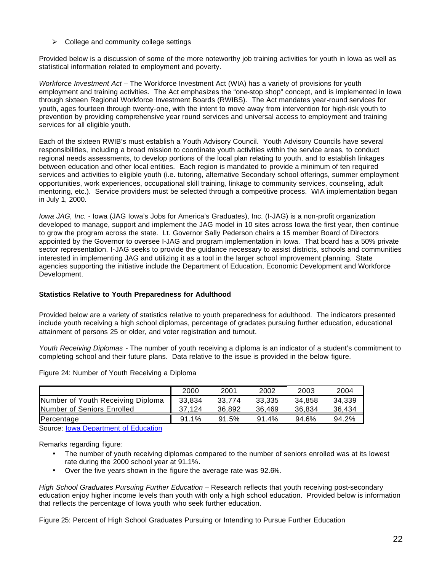$\triangleright$  College and community college settings

Provided below is a discussion of some of the more noteworthy job training activities for youth in Iowa as well as statistical information related to employment and poverty.

*Workforce Investment Act* – The Workforce Investment Act (WIA) has a variety of provisions for youth employment and training activities. The Act emphasizes the "one-stop shop" concept, and is implemented in Iowa through sixteen Regional Workforce Investment Boards (RWIBS). The Act mandates year-round services for youth, ages fourteen through twenty-one, with the intent to move away from intervention for high-risk youth to prevention by providing comprehensive year round services and universal access to employment and training services for all eligible youth.

Each of the sixteen RWIB's must establish a Youth Advisory Council. Youth Advisory Councils have several responsibilities, including a broad mission to coordinate youth activities within the service areas, to conduct regional needs assessments, to develop portions of the local plan relating to youth, and to establish linkages between education and other local entities. Each region is mandated to provide a minimum of ten required services and activities to eligible youth (i.e. tutoring, alternative Secondary school offerings, summer employment opportunities, work experiences, occupational skill training, linkage to community services, counseling, adult mentoring, etc.). Service providers must be selected through a competitive process. WIA implementation began in July 1, 2000.

*Iowa JAG, Inc.* - Iowa (JAG Iowa's Jobs for America's Graduates), Inc. (I-JAG) is a non-profit organization developed to manage, support and implement the JAG model in 10 sites across Iowa the first year, then continue to grow the program across the state. Lt. Governor Sally Pederson chairs a 15 member Board of Directors appointed by the Governor to oversee I-JAG and program implementation in Iowa. That board has a 50% private sector representation. I-JAG seeks to provide the guidance necessary to assist districts, schools and communities interested in implementing JAG and utilizing it as a tool in the larger school improvement planning. State agencies supporting the initiative include the Department of Education, Economic Development and Workforce Development.

#### **Statistics Relative to Youth Preparedness for Adulthood**

Provided below are a variety of statistics relative to youth preparedness for adulthood. The indicators presented include youth receiving a high school diplomas, percentage of gradates pursuing further education, educational attainment of persons 25 or older, and voter registration and turnout.

*Youth Receiving Diplomas* - The number of youth receiving a diploma is an indicator of a student's commitment to completing school and their future plans. Data relative to the issue is provided in the below figure.

|                                   | 2000     | 2001   | 2002   | 2003   | 2004   |
|-----------------------------------|----------|--------|--------|--------|--------|
| Number of Youth Receiving Diploma | 33.834   | 33.774 | 33.335 | 34.858 | 34.339 |
| <b>Number of Seniors Enrolled</b> | 37.124   | 36.892 | 36.469 | 36.834 | 36.434 |
| Percentage                        | $91.1\%$ | 91.5%  | 91.4%  | 94.6%  | 94.2%  |

Figure 24: Number of Youth Receiving a Diploma

Source: Iowa Department of Education

Remarks regarding figure:

- The number of youth receiving diplomas compared to the number of seniors enrolled was at its lowest rate during the 2000 school year at 91.1%.
- Over the five years shown in the figure the average rate was 92.6%.

*High School Graduates Pursuing Further Education* – Research reflects that youth receiving post-secondary education enjoy higher income levels than youth with only a high school education. Provided below is information that reflects the percentage of Iowa youth who seek further education.

Figure 25: Percent of High School Graduates Pursuing or Intending to Pursue Further Education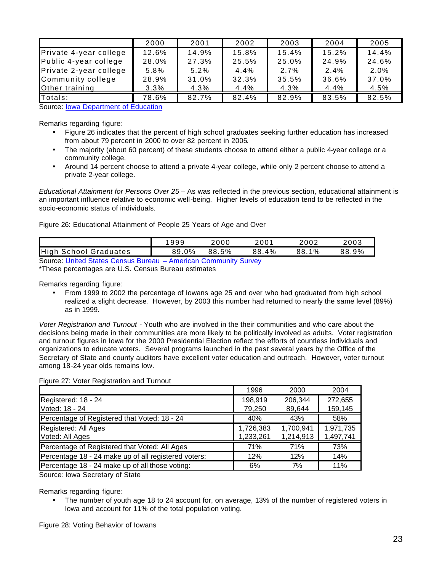|                        | 2000  | 2001  | 2002    | 2003  | 2004  | 2005    |
|------------------------|-------|-------|---------|-------|-------|---------|
| Private 4-year college | 12.6% | 14.9% | 15.8%   | 15.4% | 15.2% | 14.4%   |
| Public 4-year college  | 28.0% | 27.3% | 25.5%   | 25.0% | 24.9% | 24.6%   |
| Private 2-year college | 5.8%  | 5.2%  | $4.4\%$ | 2.7%  | 2.4%  | $2.0\%$ |
| Community college      | 28.9% | 31.0% | 32.3%   | 35.5% | 36.6% | 37.0%   |
| Other training         | 3.3%  | 4.3%  | 4.4%    | 4.3%  | 4.4%  | 4.5%    |
| Totals:                | 78.6% | 82.7% | 82.4%   | 82.9% | 83.5% | 82.5%   |

Source: **Iowa Department of Education** 

Remarks regarding figure:

- Figure 26 indicates that the percent of high school graduates seeking further education has increased from about 79 percent in 2000 to over 82 percent in 2005.
- The majority (about 60 percent) of these students choose to attend either a public 4-year college or a community college.
- Around 14 percent choose to attend a private 4-year college, while only 2 percent choose to attend a private 2-year college.

*Educational Attainment for Persons Over 25* – As was reflected in the previous section, educational attainment is an important influence relative to economic well-being. Higher levels of education tend to be reflected in the socio-economic status of individuals.

Figure 26: Educational Attainment of People 25 Years of Age and Over

|                                                                 | 1999  | 2000  | 2001  | 2002         | 2003  |  |  |  |
|-----------------------------------------------------------------|-------|-------|-------|--------------|-------|--|--|--|
| <b>High School Graduates</b>                                    | 89.0% | 88.5% | 88.4% | $1\%$<br>88. | 88.9% |  |  |  |
| Source: United States Census Bureau – American Community Survey |       |       |       |              |       |  |  |  |

\*These percentages are U.S. Census Bureau estimates

Remarks regarding figure:

• From 1999 to 2002 the percentage of Iowans age 25 and over who had graduated from high school realized a slight decrease. However, by 2003 this number had returned to nearly the same level (89%) as in 1999.

*Voter Registration and Turnout* - Youth who are involved in the their communities and who care about the decisions being made in their communities are more likely to be politically involved as adults. Voter registration and turnout figures in Iowa for the 2000 Presidential Election reflect the efforts of countless individuals and organizations to educate voters. Several programs launched in the past several years by the Office of the Secretary of State and county auditors have excellent voter education and outreach. However, voter turnout among 18-24 year olds remains low.

Figure 27: Voter Registration and Turnout

|                                                      | 1996      | 2000      | 2004      |
|------------------------------------------------------|-----------|-----------|-----------|
| Registered: 18 - 24                                  | 198,919   | 206,344   | 272,655   |
| Voted: 18 - 24                                       | 79,250    | 89,644    | 159,145   |
| Percentage of Registered that Voted: 18 - 24         | 40%       | 43%       | 58%       |
| Registered: All Ages                                 | 1,726,383 | 1,700,941 | 1,971,735 |
| Voted: All Ages                                      | 1,233,261 | 1,214,913 | 1,497,741 |
| Percentage of Registered that Voted: All Ages        | 71%       | 71%       | 73%       |
| Percentage 18 - 24 make up of all registered voters: | 12%       | 12%       | 14%       |
| Percentage 18 - 24 make up of all those voting:      | 6%        | 7%        | 11%       |
|                                                      |           |           |           |

Source: Iowa Secretary of State

Remarks regarding figure:

• The number of youth age 18 to 24 account for, on average, 13% of the number of registered voters in Iowa and account for 11% of the total population voting.

Figure 28: Voting Behavior of Iowans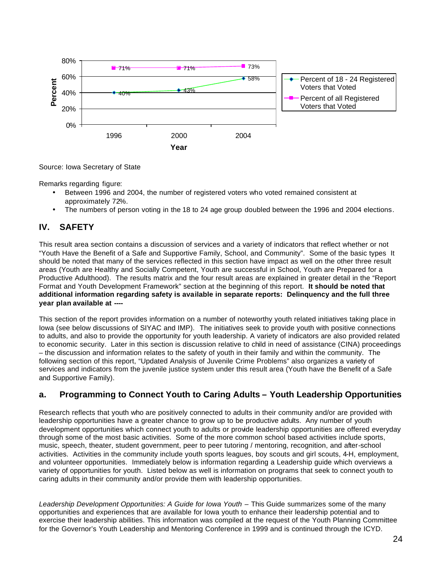

Source: Iowa Secretary of State

Remarks regarding figure:

- Between 1996 and 2004, the number of registered voters who voted remained consistent at approximately 72%.
- The numbers of person voting in the 18 to 24 age group doubled between the 1996 and 2004 elections.

## **IV. SAFETY**

This result area section contains a discussion of services and a variety of indicators that reflect whether or not "Youth Have the Benefit of a Safe and Supportive Family, School, and Community". Some of the basic types It should be noted that many of the services reflected in this section have impact as well on the other three result areas (Youth are Healthy and Socially Competent, Youth are successful in School, Youth are Prepared for a Productive Adulthood). The results matrix and the four result areas are explained in greater detail in the "Report Format and Youth Development Framework" section at the beginning of this report. **It should be noted that additional information regarding safety is available in separate reports: Delinquency and the full three year plan available at ----** 

This section of the report provides information on a number of noteworthy youth related initiatives taking place in Iowa (see below discussions of SIYAC and IMP). The initiatives seek to provide youth with positive connections to adults, and also to provide the opportunity for youth leadership. A variety of indicators are also provided related to economic security. Later in this section is discussion relative to child in need of assistance (CINA) proceedings – the discussion and information relates to the safety of youth in their family and within the community. The following section of this report, "Updated Analysis of Juvenile Crime Problems" also organizes a variety of services and indicators from the juvenile justice system under this result area (Youth have the Benefit of a Safe and Supportive Family).

## **a. Programming to Connect Youth to Caring Adults – Youth Leadership Opportunities**

Research reflects that youth who are positively connected to adults in their community and/or are provided with leadership opportunities have a greater chance to grow up to be productive adults. Any number of youth development opportunities which connect youth to adults or provide leadership opportunities are offered everyday through some of the most basic activities. Some of the more common school based activities include sports, music, speech, theater, student government, peer to peer tutoring / mentoring, recognition, and after-school activities. Activities in the community include youth sports leagues, boy scouts and girl scouts, 4-H, employment, and volunteer opportunities. Immediately below is information regarding a Leadership guide which overviews a variety of opportunities for youth. Listed below as well is information on programs that seek to connect youth to caring adults in their community and/or provide them with leadership opportunities.

*Leadership Development Opportunities: A Guide for Iowa Youth –* This Guide summarizes some of the many opportunities and experiences that are available for Iowa youth to enhance their leadership potential and to exercise their leadership abilities. This information was compiled at the request of the Youth Planning Committee for the Governor's Youth Leadership and Mentoring Conference in 1999 and is continued through the ICYD.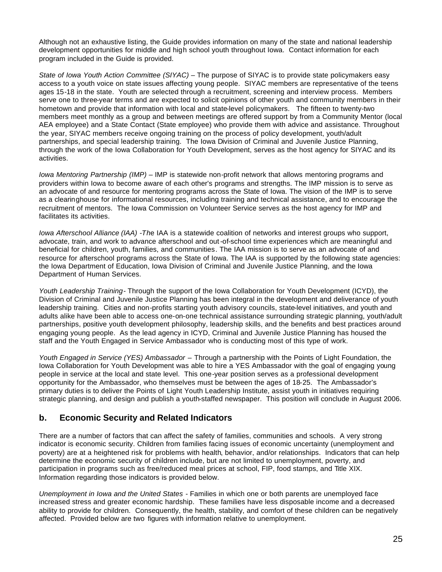Although not an exhaustive listing, the Guide provides information on many of the state and national leadership development opportunities for middle and high school youth throughout Iowa. Contact information for each program included in the Guide is provided.

*State of Iowa Youth Action Committee (SIYAC)* – The purpose of SIYAC is to provide state policymakers easy access to a youth voice on state issues affecting young people. SIYAC members are representative of the teens ages 15-18 in the state. Youth are selected through a recruitment, screening and interview process. Members serve one to three-year terms and are expected to solicit opinions of other youth and community members in their hometown and provide that information with local and state-level policymakers. The fifteen to twenty-two members meet monthly as a group and between meetings are offered support by from a Community Mentor (local AEA employee) and a State Contact (State employee) who provide them with advice and assistance. Throughout the year, SIYAC members receive ongoing training on the process of policy development, youth/adult partnerships, and special leadership training. The Iowa Division of Criminal and Juvenile Justice Planning, through the work of the Iowa Collaboration for Youth Development, serves as the host agency for SIYAC and its activities.

*Iowa Mentoring Partnership (IMP)* – IMP is statewide non-profit network that allows mentoring programs and providers within Iowa to become aware of each other's programs and strengths. The IMP mission is to serve as an advocate of and resource for mentoring programs across the State of Iowa. The vision of the IMP is to serve as a clearinghouse for informational resources, including training and technical assistance, and to encourage the recruitment of mentors. The Iowa Commission on Volunteer Service serves as the host agency for IMP and facilitates its activities.

*Iowa Afterschool Alliance (IAA) -Th*e IAA is a statewide coalition of networks and interest groups who support, advocate, train, and work to advance afterschool and out-of-school time experiences which are meaningful and beneficial for children, youth, families, and communities. The IAA mission is to serve as an advocate of and resource for afterschool programs across the State of Iowa. The IAA is supported by the following state agencies: the Iowa Department of Education, Iowa Division of Criminal and Juvenile Justice Planning, and the Iowa Department of Human Services.

*Youth Leadership Training-* Through the support of the Iowa Collaboration for Youth Development (ICYD), the Division of Criminal and Juvenile Justice Planning has been integral in the development and deliverance of youth leadership training. Cities and non-profits starting youth advisory councils, state-level initiatives, and youth and adults alike have been able to access one-on-one technical assistance surrounding strategic planning, youth/adult partnerships, positive youth development philosophy, leadership skills, and the benefits and best practices around engaging young people. As the lead agency in ICYD, Criminal and Juvenile Justice Planning has housed the staff and the Youth Engaged in Service Ambassador who is conducting most of this type of work.

*Youth Engaged in Service (YES) Ambassador –* Through a partnership with the Points of Light Foundation, the Iowa Collaboration for Youth Development was able to hire a YES Ambassador with the goal of engaging young people in service at the local and state level. This one-year position serves as a professional development opportunity for the Ambassador, who themselves must be between the ages of 18-25. The Ambassador's primary duties is to deliver the Points of Light Youth Leadership Institute, assist youth in initiatives requiring strategic planning, and design and publish a youth-staffed newspaper. This position will conclude in August 2006.

## **b. Economic Security and Related Indicators**

There are a number of factors that can affect the safety of families, communities and schools. A very strong indicator is economic security. Children from families facing issues of economic uncertainty (unemployment and poverty) are at a heightened risk for problems with health, behavior, and/or relationships. Indicators that can help determine the economic security of children include, but are not limited to unemployment, poverty, and participation in programs such as free/reduced meal prices at school, FIP, food stamps, and Title XIX. Information regarding those indicators is provided below.

*Unemployment in Iowa and the United States* - Families in which one or both parents are unemployed face increased stress and greater economic hardship. These families have less disposable income and a decreased ability to provide for children. Consequently, the health, stability, and comfort of these children can be negatively affected. Provided below are two figures with information relative to unemployment.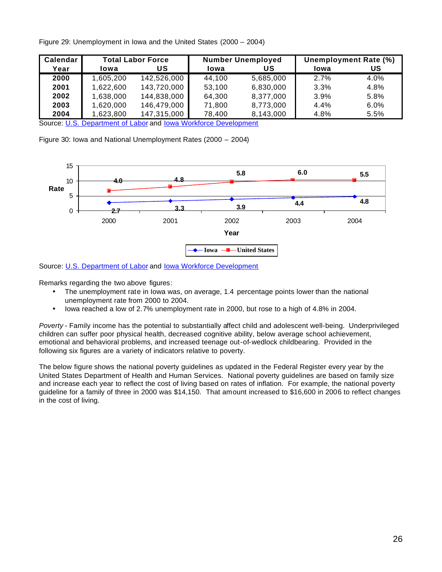| Calendar | <b>Total Labor Force</b> |             |        | <b>Number Unemployed</b> | Unemployment Rate (%) |      |
|----------|--------------------------|-------------|--------|--------------------------|-----------------------|------|
| Year     | lowa                     | US          | Iowa   | US                       | Iowa                  | US   |
| 2000     | 1,605,200                | 142,526,000 | 44,100 | 5,685,000                | 2.7%                  | 4.0% |
| 2001     | 1,622,600                | 143,720,000 | 53,100 | 6,830,000                | 3.3%                  | 4.8% |
| 2002     | 1,638,000                | 144,838,000 | 64,300 | 8,377,000                | 3.9%                  | 5.8% |
| 2003     | 1,620,000                | 146,479,000 | 71,800 | 8,773,000                | 4.4%                  | 6.0% |
| 2004     | 1,623,800                | 147,315,000 | 78,400 | 8,143,000                | 4.8%                  | 5.5% |

Figure 29: Unemployment in Iowa and the United States (2000 – 2004)

Source: U.S. Department of Labor and lowa Workforce Development

Figure 30: Iowa and National Unemployment Rates (2000 – 2004)



Source: U.S. Department of Labor and lowa Workforce Development

Remarks regarding the two above figures:

- The unemployment rate in Iowa was, on average, 1.4 percentage points lower than the national unemployment rate from 2000 to 2004.
- Iowa reached a low of 2.7% unemployment rate in 2000, but rose to a high of 4.8% in 2004.

*Poverty* - Family income has the potential to substantially affect child and adolescent well-being. Underprivileged children can suffer poor physical health, decreased cognitive ability, below average school achievement, emotional and behavioral problems, and increased teenage out-of-wedlock childbearing. Provided in the following six figures are a variety of indicators relative to poverty.

The below figure shows the national poverty guidelines as updated in the Federal Register every year by the United States Department of Health and Human Services. National poverty guidelines are based on family size and increase each year to reflect the cost of living based on rates of inflation. For example, the national poverty guideline for a family of three in 2000 was \$14,150. That amount increased to \$16,600 in 2006 to reflect changes in the cost of living.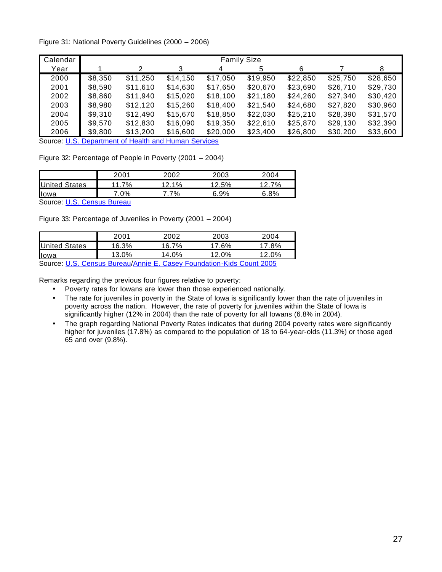#### Figure 31: National Poverty Guidelines (2000 – 2006)

| Calendar | <b>Family Size</b> |          |          |          |          |          |          |          |
|----------|--------------------|----------|----------|----------|----------|----------|----------|----------|
| Year     |                    | 2        | 3        | 4        | 5        | 6        |          | 8        |
| 2000     | \$8,350            | \$11,250 | \$14,150 | \$17,050 | \$19,950 | \$22,850 | \$25,750 | \$28,650 |
| 2001     | \$8,590            | \$11,610 | \$14,630 | \$17,650 | \$20,670 | \$23,690 | \$26,710 | \$29,730 |
| 2002     | \$8,860            | \$11,940 | \$15,020 | \$18,100 | \$21,180 | \$24,260 | \$27,340 | \$30,420 |
| 2003     | \$8,980            | \$12,120 | \$15,260 | \$18,400 | \$21,540 | \$24,680 | \$27,820 | \$30,960 |
| 2004     | \$9,310            | \$12,490 | \$15,670 | \$18,850 | \$22,030 | \$25,210 | \$28,390 | \$31,570 |
| 2005     | \$9,570            | \$12,830 | \$16,090 | \$19,350 | \$22,610 | \$25,870 | \$29,130 | \$32,390 |
| 2006     | \$9,800            | \$13,200 | \$16,600 | \$20,000 | \$23,400 | \$26,800 | \$30,200 | \$33,600 |

Source: U.S. Department of Health and Human Services

Figure 32: Percentage of People in Poverty (2001 – 2004)

|                          | 2001 | 2002 | 2003  | 2004 |
|--------------------------|------|------|-------|------|
| States<br><b>IUnited</b> | 7%   | -10/ | 5%    | 70/  |
| <b>Il</b> owa            | 0%   | 7%   | $9\%$ | .8%  |

Source: U.S. Census Bureau

Figure 33: Percentage of Juveniles in Poverty (2001 – 2004)

|                                                                      | 2001     | 2002  | 2003  | 2004     |  |  |
|----------------------------------------------------------------------|----------|-------|-------|----------|--|--|
| <b>United States</b>                                                 | 16.3%    | 16.7% | 17 6% | 17.8%    |  |  |
| <b>Il</b> owa                                                        | $13.0\%$ | 14.0% | 12 በ% | $12.0\%$ |  |  |
| Source: U.S. Census Bureau/Annie E. Casey Foundation-Kids Count 2005 |          |       |       |          |  |  |

Remarks regarding the previous four figures relative to poverty:

- Poverty rates for Iowans are lower than those experienced nationally.
- The rate for juveniles in poverty in the State of Iowa is significantly lower than the rate of juveniles in poverty across the nation. However, the rate of poverty for juveniles within the State of Iowa is significantly higher (12% in 2004) than the rate of poverty for all Iowans (6.8% in 2004).
- The graph regarding National Poverty Rates indicates that during 2004 poverty rates were significantly higher for juveniles (17.8%) as compared to the population of 18 to 64-year-olds (11.3%) or those aged 65 and over (9.8%).